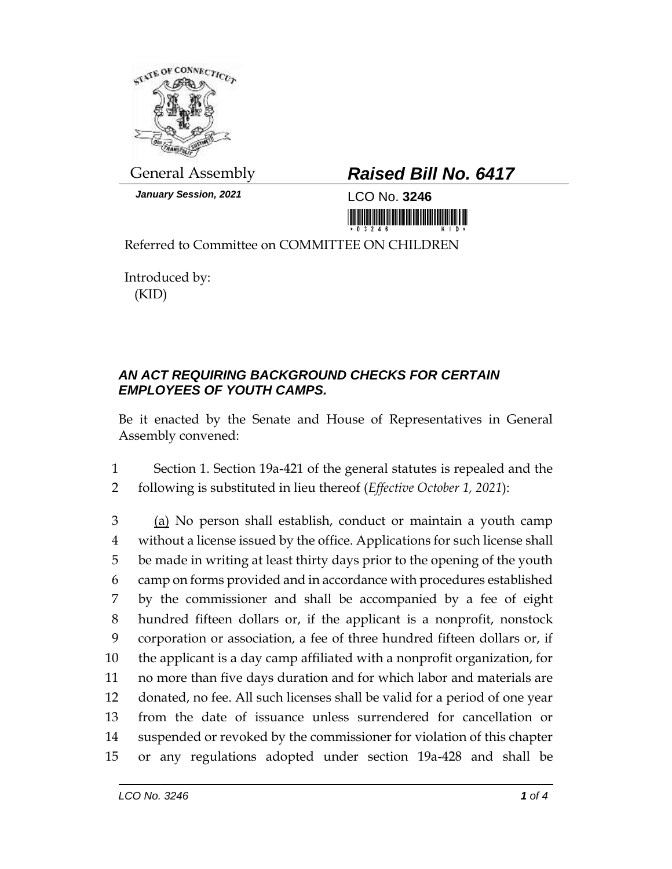

*January Session, 2021* LCO No. **3246**

## General Assembly *Raised Bill No. 6417*

<u> III maarta ka maalinna maarta saaraa ka maarta saaraa ka maarta saaraa ka maarta saaraa ka maarta saaraa ka </u>

Referred to Committee on COMMITTEE ON CHILDREN

Introduced by: (KID)

## *AN ACT REQUIRING BACKGROUND CHECKS FOR CERTAIN EMPLOYEES OF YOUTH CAMPS.*

Be it enacted by the Senate and House of Representatives in General Assembly convened:

1 Section 1. Section 19a-421 of the general statutes is repealed and the 2 following is substituted in lieu thereof (*Effective October 1, 2021*):

 (a) No person shall establish, conduct or maintain a youth camp without a license issued by the office. Applications for such license shall be made in writing at least thirty days prior to the opening of the youth camp on forms provided and in accordance with procedures established by the commissioner and shall be accompanied by a fee of eight hundred fifteen dollars or, if the applicant is a nonprofit, nonstock corporation or association, a fee of three hundred fifteen dollars or, if the applicant is a day camp affiliated with a nonprofit organization, for no more than five days duration and for which labor and materials are donated, no fee. All such licenses shall be valid for a period of one year from the date of issuance unless surrendered for cancellation or suspended or revoked by the commissioner for violation of this chapter or any regulations adopted under section 19a-428 and shall be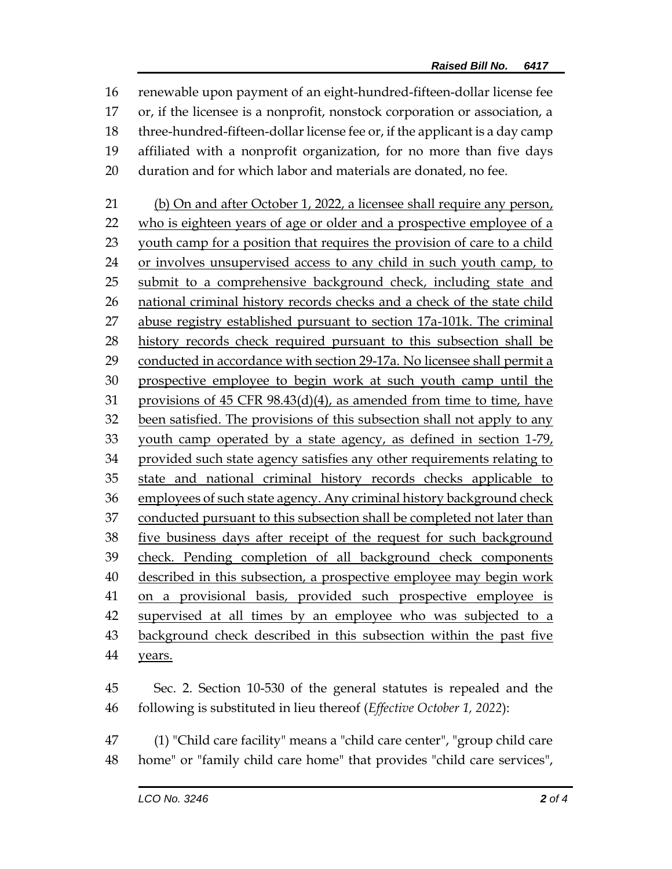renewable upon payment of an eight-hundred-fifteen-dollar license fee or, if the licensee is a nonprofit, nonstock corporation or association, a three-hundred-fifteen-dollar license fee or, if the applicant is a day camp affiliated with a nonprofit organization, for no more than five days duration and for which labor and materials are donated, no fee.

 (b) On and after October 1, 2022, a licensee shall require any person, 22 who is eighteen years of age or older and a prospective employee of a youth camp for a position that requires the provision of care to a child 24 or involves unsupervised access to any child in such youth camp, to 25 submit to a comprehensive background check, including state and national criminal history records checks and a check of the state child abuse registry established pursuant to section 17a-101k. The criminal history records check required pursuant to this subsection shall be conducted in accordance with section 29-17a. No licensee shall permit a prospective employee to begin work at such youth camp until the provisions of 45 CFR 98.43(d)(4), as amended from time to time, have been satisfied. The provisions of this subsection shall not apply to any 33 youth camp operated by a state agency, as defined in section 1-79, provided such state agency satisfies any other requirements relating to state and national criminal history records checks applicable to 36 employees of such state agency. Any criminal history background check 37 conducted pursuant to this subsection shall be completed not later than five business days after receipt of the request for such background check. Pending completion of all background check components 40 described in this subsection, a prospective employee may begin work on a provisional basis, provided such prospective employee is supervised at all times by an employee who was subjected to a background check described in this subsection within the past five years.

 Sec. 2. Section 10-530 of the general statutes is repealed and the following is substituted in lieu thereof (*Effective October 1, 2022*):

 (1) "Child care facility" means a "child care center", "group child care home" or "family child care home" that provides "child care services",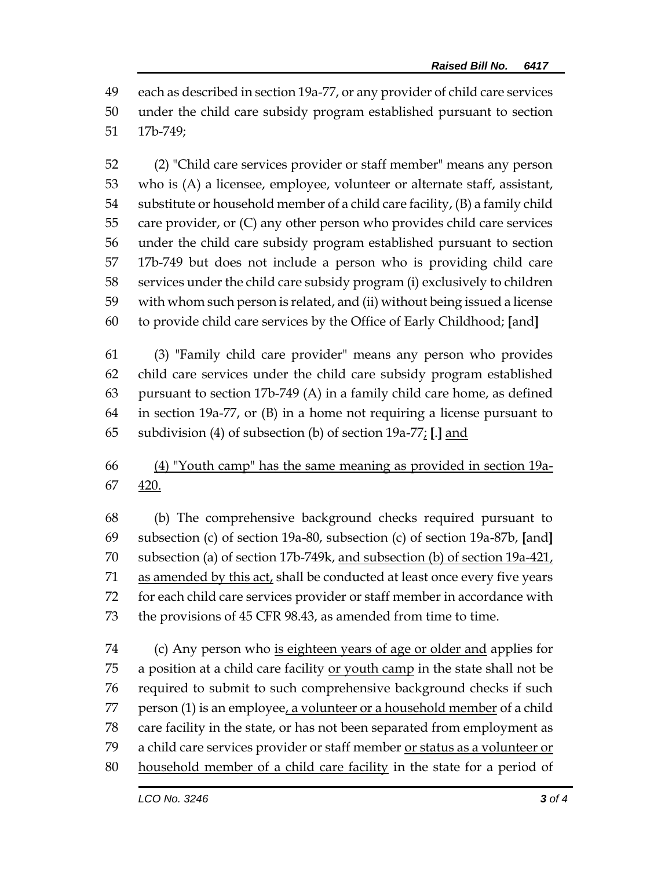each as described in section 19a-77, or any provider of child care services under the child care subsidy program established pursuant to section 17b-749;

 (2) "Child care services provider or staff member" means any person who is (A) a licensee, employee, volunteer or alternate staff, assistant, substitute or household member of a child care facility, (B) a family child care provider, or (C) any other person who provides child care services under the child care subsidy program established pursuant to section 17b-749 but does not include a person who is providing child care services under the child care subsidy program (i) exclusively to children with whom such person is related, and (ii) without being issued a license to provide child care services by the Office of Early Childhood; **[**and**]**

 (3) "Family child care provider" means any person who provides child care services under the child care subsidy program established pursuant to section 17b-749 (A) in a family child care home, as defined in section 19a-77, or (B) in a home not requiring a license pursuant to subdivision (4) of subsection (b) of section 19a-77; **[**.**]** and

 (4) "Youth camp" has the same meaning as provided in section 19a-420.

 (b) The comprehensive background checks required pursuant to subsection (c) of section 19a-80, subsection (c) of section 19a-87b, **[**and**]** subsection (a) of section 17b-749k, and subsection (b) of section 19a-421, 71 as amended by this act, shall be conducted at least once every five years for each child care services provider or staff member in accordance with the provisions of 45 CFR 98.43, as amended from time to time.

74 (c) Any person who <u>is eighteen years of age or older and</u> applies for 75 a position at a child care facility or youth camp in the state shall not be required to submit to such comprehensive background checks if such 77 person (1) is an employee, a volunteer or a household member of a child care facility in the state, or has not been separated from employment as a child care services provider or staff member or status as a volunteer or household member of a child care facility in the state for a period of